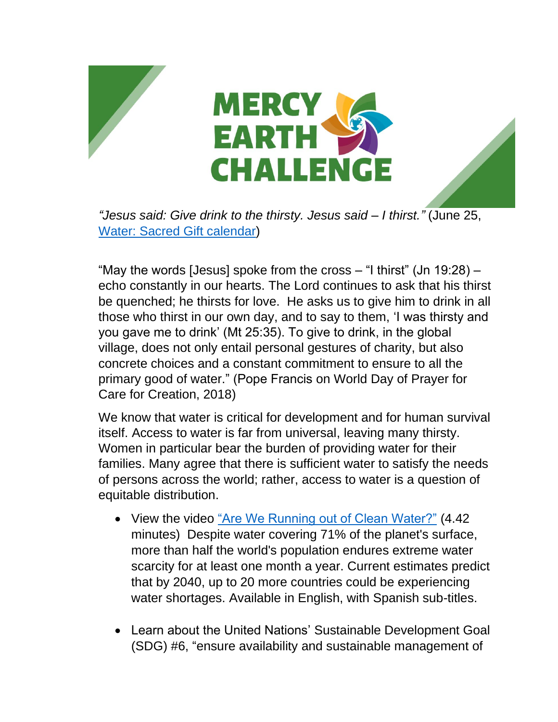



*"Jesus said: Give drink to the thirsty. Jesus said – I thirst."* (June 25, [Water: Sacred Gift calendar\)](https://www.sistersofmercy.org/files/images/Justice/Earth/CalendarMEC_English_FINAL-compressed.pdf)

"May the words [Jesus] spoke from the cross  $-$  "I thirst" (Jn 19:28)  $$ echo constantly in our hearts. The Lord continues to ask that his thirst be quenched; he thirsts for love. He asks us to give him to drink in all those who thirst in our own day, and to say to them, 'I was thirsty and you gave me to drink' (Mt 25:35). To give to drink, in the global village, does not only entail personal gestures of charity, but also concrete choices and a constant commitment to ensure to all the primary good of water." (Pope Francis on World Day of Prayer for Care for Creation, 2018)

We know that water is critical for development and for human survival itself. Access to water is far from universal, leaving many thirsty. Women in particular bear the burden of providing water for their families. Many agree that there is sufficient water to satisfy the needs of persons across the world; rather, access to water is a question of equitable distribution.

- View the video ["Are We Running out of Clean Water?"](https://www.ted.com/talks/balsher_singh_sidhu_are_we_running_out_of_clean_water#t-212774) (4.42) minutes) Despite water covering 71% of the planet's surface, more than half the world's population endures extreme water scarcity for at least one month a year. Current estimates predict that by 2040, up to 20 more countries could be experiencing water shortages. Available in English, with Spanish sub-titles.
- Learn about the United Nations' Sustainable Development Goal (SDG) #6, "ensure availability and sustainable management of